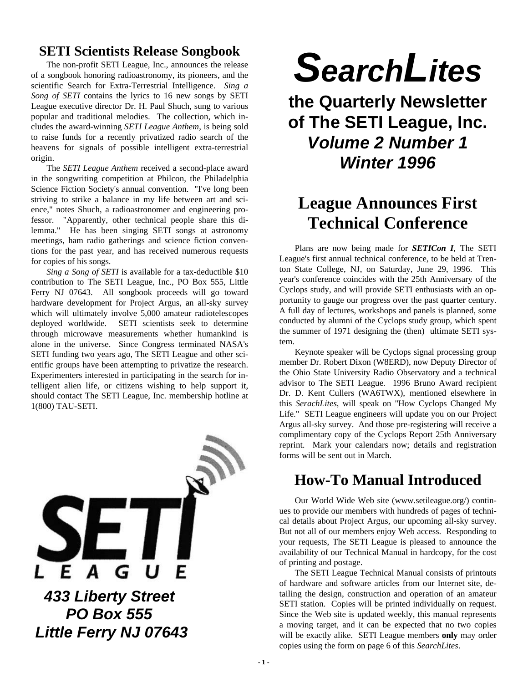#### **SETI Scientists Release Songbook**

The non-profit SETI League, Inc., announces the release of a songbook honoring radioastronomy, its pioneers, and the scientific Search for Extra-Terrestrial Intelligence. *Sing a Song of SETI* contains the lyrics to 16 new songs by SETI League executive director Dr. H. Paul Shuch, sung to various popular and traditional melodies. The collection, which includes the award-winning *SETI League Anthem*, is being sold to raise funds for a recently privatized radio search of the heavens for signals of possible intelligent extra-terrestrial origin.

The *SETI League Anthem* received a second-place award in the songwriting competition at Philcon, the Philadelphia Science Fiction Society's annual convention. "I've long been striving to strike a balance in my life between art and science," notes Shuch, a radioastronomer and engineering professor. "Apparently, other technical people share this dilemma." He has been singing SETI songs at astronomy meetings, ham radio gatherings and science fiction conventions for the past year, and has received numerous requests for copies of his songs.

*Sing a Song of SETI* is available for a tax-deductible \$10 contribution to The SETI League, Inc., PO Box 555, Little Ferry NJ 07643. All songbook proceeds will go toward hardware development for Project Argus, an all-sky survey which will ultimately involve 5,000 amateur radiotelescopes deployed worldwide. SETI scientists seek to determine through microwave measurements whether humankind is alone in the universe. Since Congress terminated NASA's SETI funding two years ago, The SETI League and other scientific groups have been attempting to privatize the research. Experimenters interested in participating in the search for intelligent alien life, or citizens wishing to help support it, should contact The SETI League, Inc. membership hotline at 1(800) TAU-SETI.



# *SearchLites*

**the Quarterly Newsletter of The SETI League, Inc.** *Volume 2 Number 1 Winter 1996*

### **League Announces First Technical Conference**

Plans are now being made for *SETICon I*, The SETI League's first annual technical conference, to be held at Trenton State College, NJ, on Saturday, June 29, 1996. This year's conference coincides with the 25th Anniversary of the Cyclops study, and will provide SETI enthusiasts with an opportunity to gauge our progress over the past quarter century. A full day of lectures, workshops and panels is planned, some conducted by alumni of the Cyclops study group, which spent the summer of 1971 designing the (then) ultimate SETI system.

Keynote speaker will be Cyclops signal processing group member Dr. Robert Dixon (W8ERD), now Deputy Director of the Ohio State University Radio Observatory and a technical advisor to The SETI League. 1996 Bruno Award recipient Dr. D. Kent Cullers (WA6TWX), mentioned elsewhere in this *SerachLites*, will speak on "How Cyclops Changed My Life." SETI League engineers will update you on our Project Argus all-sky survey. And those pre-registering will receive a complimentary copy of the Cyclops Report 25th Anniversary reprint. Mark your calendars now; details and registration forms will be sent out in March.

### **How-To Manual Introduced**

Our World Wide Web site (www.setileague.org/) continues to provide our members with hundreds of pages of technical details about Project Argus, our upcoming all-sky survey. But not all of our members enjoy Web access. Responding to your requests, The SETI League is pleased to announce the availability of our Technical Manual in hardcopy, for the cost of printing and postage.

The SETI League Technical Manual consists of printouts of hardware and software articles from our Internet site, detailing the design, construction and operation of an amateur SETI station. Copies will be printed individually on request. Since the Web site is updated weekly, this manual represents a moving target, and it can be expected that no two copies will be exactly alike. SETI League members **only** may order copies using the form on page 6 of this *SearchLites*.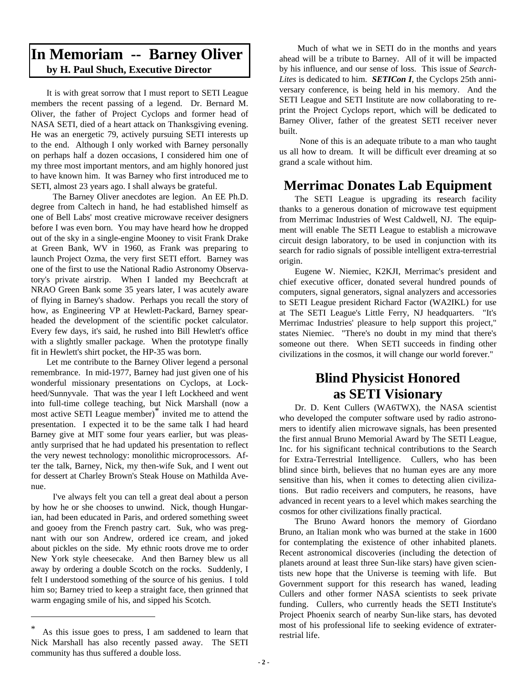#### **In Memoriam -- Barney Oliver by H. Paul Shuch, Executive Director**

It is with great sorrow that I must report to SETI League members the recent passing of a legend. Dr. Bernard M. Oliver, the father of Project Cyclops and former head of NASA SETI, died of a heart attack on Thanksgiving evening. He was an energetic 79, actively pursuing SETI interests up to the end. Although I only worked with Barney personally on perhaps half a dozen occasions, I considered him one of my three most important mentors, and am highly honored just to have known him. It was Barney who first introduced me to SETI, almost 23 years ago. I shall always be grateful.

 The Barney Oliver anecdotes are legion. An EE Ph.D. degree from Caltech in hand, he had established himself as one of Bell Labs' most creative microwave receiver designers before I was even born. You may have heard how he dropped out of the sky in a single-engine Mooney to visit Frank Drake at Green Bank, WV in 1960, as Frank was preparing to launch Project Ozma, the very first SETI effort. Barney was one of the first to use the National Radio Astronomy Observatory's private airstrip. When I landed my Beechcraft at NRAO Green Bank some 35 years later, I was acutely aware of flying in Barney's shadow. Perhaps you recall the story of how, as Engineering VP at Hewlett-Packard, Barney spearheaded the development of the scientific pocket calculator. Every few days, it's said, he rushed into Bill Hewlett's office with a slightly smaller package. When the prototype finally fit in Hewlett's shirt pocket, the HP-35 was born.

Let me contribute to the Barney Oliver legend a personal remembrance. In mid-1977, Barney had just given one of his wonderful missionary presentations on Cyclops, at Lockheed/Sunnyvale. That was the year I left Lockheed and went into full-time college teaching, but Nick Marshall (now a most active SETI League member)<sup>\*</sup> invited me to attend the presentation. I expected it to be the same talk I had heard Barney give at MIT some four years earlier, but was pleasantly surprised that he had updated his presentation to reflect the very newest technology: monolithic microprocessors. After the talk, Barney, Nick, my then-wife Suk, and I went out for dessert at Charley Brown's Steak House on Mathilda Avenue.

 I've always felt you can tell a great deal about a person by how he or she chooses to unwind. Nick, though Hungarian, had been educated in Paris, and ordered something sweet and gooey from the French pastry cart. Suk, who was pregnant with our son Andrew, ordered ice cream, and joked about pickles on the side. My ethnic roots drove me to order New York style cheesecake. And then Barney blew us all away by ordering a double Scotch on the rocks. Suddenly, I felt I understood something of the source of his genius. I told him so; Barney tried to keep a straight face, then grinned that warm engaging smile of his, and sipped his Scotch.

 Much of what we in SETI do in the months and years ahead will be a tribute to Barney. All of it will be impacted by his influence, and our sense of loss. This issue of *Search-Lites* is dedicated to him. *SETICon I*, the Cyclops 25th anniversary conference, is being held in his memory. And the SETI League and SETI Institute are now collaborating to reprint the Project Cyclops report, which will be dedicated to Barney Oliver, father of the greatest SETI receiver never built.

 None of this is an adequate tribute to a man who taught us all how to dream. It will be difficult ever dreaming at so grand a scale without him.

#### **Merrimac Donates Lab Equipment**

The SETI League is upgrading its research facility thanks to a generous donation of microwave test equipment from Merrimac Industries of West Caldwell, NJ. The equipment will enable The SETI League to establish a microwave circuit design laboratory, to be used in conjunction with its search for radio signals of possible intelligent extra-terrestrial origin.

Eugene W. Niemiec, K2KJI, Merrimac's president and chief executive officer, donated several hundred pounds of computers, signal generators, signal analyzers and accessories to SETI League president Richard Factor (WA2IKL) for use at The SETI League's Little Ferry, NJ headquarters. "It's Merrimac Industries' pleasure to help support this project," states Niemiec. "There's no doubt in my mind that there's someone out there. When SETI succeeds in finding other civilizations in the cosmos, it will change our world forever."

### **Blind Physicist Honored as SETI Visionary**

Dr. D. Kent Cullers (WA6TWX), the NASA scientist who developed the computer software used by radio astronomers to identify alien microwave signals, has been presented the first annual Bruno Memorial Award by The SETI League, Inc. for his significant technical contributions to the Search for Extra-Terrestrial Intelligence. Cullers, who has been blind since birth, believes that no human eyes are any more sensitive than his, when it comes to detecting alien civilizations. But radio receivers and computers, he reasons, have advanced in recent years to a level which makes searching the cosmos for other civilizations finally practical.

The Bruno Award honors the memory of Giordano Bruno, an Italian monk who was burned at the stake in 1600 for contemplating the existence of other inhabited planets. Recent astronomical discoveries (including the detection of planets around at least three Sun-like stars) have given scientists new hope that the Universe is teeming with life. But Government support for this research has waned, leading Cullers and other former NASA scientists to seek private funding. Cullers, who currently heads the SETI Institute's Project Phoenix search of nearby Sun-like stars, has devoted most of his professional life to seeking evidence of extraterrestrial life.

<sup>\*</sup> As this issue goes to press, I am saddened to learn that Nick Marshall has also recently passed away. The SETI community has thus suffered a double loss.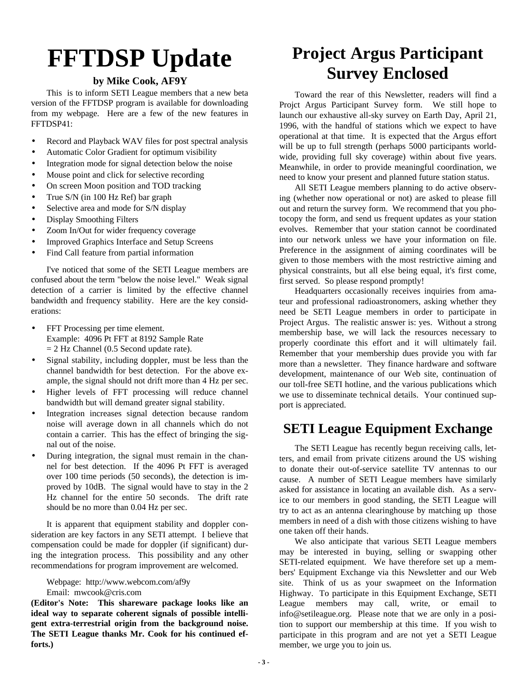## **FFTDSP Update**

#### **by Mike Cook, AF9Y**

This is to inform SETI League members that a new beta version of the FFTDSP program is available for downloading from my webpage. Here are a few of the new features in FFTDSP41:

- Record and Playback WAV files for post spectral analysis
- Automatic Color Gradient for optimum visibility
- Integration mode for signal detection below the noise
- Mouse point and click for selective recording
- On screen Moon position and TOD tracking
- True S/N (in 100 Hz Ref) bar graph
- Selective area and mode for S/N display
- Display Smoothing Filters
- Zoom In/Out for wider frequency coverage
- Improved Graphics Interface and Setup Screens
- Find Call feature from partial information

I've noticed that some of the SETI League members are confused about the term "below the noise level." Weak signal detection of a carrier is limited by the effective channel bandwidth and frequency stability. Here are the key considerations:

- FFT Processing per time element. Example: 4096 Pt FFT at 8192 Sample Rate  $= 2$  Hz Channel (0.5 Second update rate).
- Signal stability, including doppler, must be less than the channel bandwidth for best detection. For the above example, the signal should not drift more than 4 Hz per sec.
- Higher levels of FFT processing will reduce channel bandwidth but will demand greater signal stability.
- Integration increases signal detection because random noise will average down in all channels which do not contain a carrier. This has the effect of bringing the signal out of the noise.
- During integration, the signal must remain in the channel for best detection. If the 4096 Pt FFT is averaged over 100 time periods (50 seconds), the detection is improved by 10dB. The signal would have to stay in the 2 Hz channel for the entire 50 seconds. The drift rate should be no more than 0.04 Hz per sec.

It is apparent that equipment stability and doppler consideration are key factors in any SETI attempt. I believe that compensation could be made for doppler (if significant) during the integration process. This possibility and any other recommendations for program improvement are welcomed.

Webpage: http://www.webcom.com/af9y Email: mwcook@cris.com

**(Editor's Note: This shareware package looks like an ideal way to separate coherent signals of possible intelligent extra-terrestrial origin from the background noise. The SETI League thanks Mr. Cook for his continued efforts.)**

### **Project Argus Participant Survey Enclosed**

Toward the rear of this Newsletter, readers will find a Projct Argus Participant Survey form. We still hope to launch our exhaustive all-sky survey on Earth Day, April 21, 1996, with the handful of stations which we expect to have operational at that time. It is expected that the Argus effort will be up to full strength (perhaps 5000 participants worldwide, providing full sky coverage) within about five years. Meanwhile, in order to provide meaningful coordination, we need to know your present and planned future station status.

All SETI League members planning to do active observing (whether now operational or not) are asked to please fill out and return the survey form. We recommend that you photocopy the form, and send us frequent updates as your station evolves. Remember that your station cannot be coordinated into our network unless we have your information on file. Preference in the assignment of aiming coordinates will be given to those members with the most restrictive aiming and physical constraints, but all else being equal, it's first come, first served. So please respond promptly!

Headquarters occasionally receives inquiries from amateur and professional radioastronomers, asking whether they need be SETI League members in order to participate in Project Argus. The realistic answer is: yes. Without a strong membership base, we will lack the resources necessary to properly coordinate this effort and it will ultimately fail. Remember that your membership dues provide you with far more than a newsletter. They finance hardware and software development, maintenance of our Web site, continuation of our toll-free SETI hotline, and the various publications which we use to disseminate technical details. Your continued support is appreciated.

#### **SETI League Equipment Exchange**

The SETI League has recently begun receiving calls, letters, and email from private citizens around the US wishing to donate their out-of-service satellite TV antennas to our cause. A number of SETI League members have similarly asked for assistance in locating an available dish. As a service to our members in good standing, the SETI League will try to act as an antenna clearinghouse by matching up those members in need of a dish with those citizens wishing to have one taken off their hands.

We also anticipate that various SETI League members may be interested in buying, selling or swapping other SETI-related equipment. We have therefore set up a members' Equipment Exchange via this Newsletter and our Web site. Think of us as your swapmeet on the Information Highway. To participate in this Equipment Exchange, SETI League members may call, write, or email to info@setileague.org. Please note that we are only in a position to support our membership at this time. If you wish to participate in this program and are not yet a SETI League member, we urge you to join us.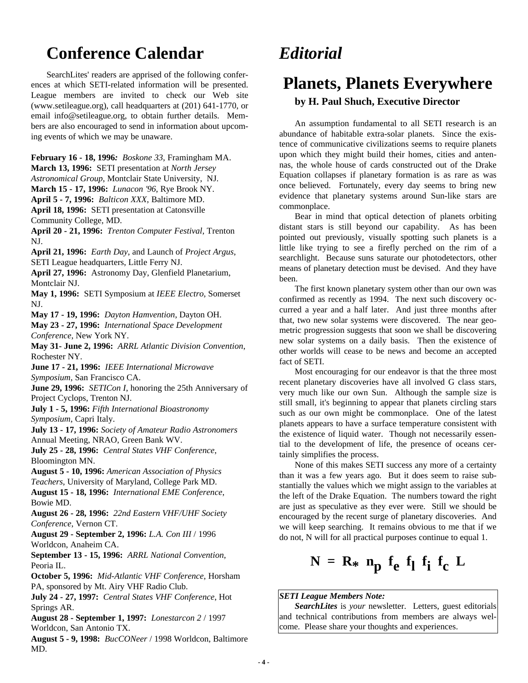### **Conference Calendar**

SearchLites' readers are apprised of the following conferences at which SETI-related information will be presented. League members are invited to check our Web site (www.setileague.org), call headquarters at (201) 641-1770, or email info@setileague.org, to obtain further details. Members are also encouraged to send in information about upcoming events of which we may be unaware.

**February 16 - 18, 1996***: Boskone 33*, Framingham MA. **March 13, 1996:** SETI presentation at *North Jersey*

*Astronomical Group*, Montclair State University, NJ.

**March 15 - 17, 1996:** *Lunacon '96*, Rye Brook NY.

**April 5 - 7, 1996:** *Balticon XXX*, Baltimore MD.

**April 18, 1996:** SETI presentation at Catonsville

Community College, MD.

**April 20 - 21, 1996:** *Trenton Computer Festival*, Trenton NJ.

**April 21, 1996:** *Earth Day*, and Launch of *Project Argus*, SETI League headquarters, Little Ferry NJ.

**April 27, 1996:** Astronomy Day, Glenfield Planetarium, Montclair NJ.

**May 1, 1996:** SETI Symposium at *IEEE Electro*, Somerset NJ.

**May 17 - 19, 1996:** *Dayton Hamvention*, Dayton OH.

**May 23 - 27, 1996:** *International Space Development Conference*, New York NY.

**May 31- June 2, 1996:** *ARRL Atlantic Division Convention*, Rochester NY.

**June 17 - 21, 1996:** *IEEE International Microwave*

*Symposium*, San Francisco CA.

**June 29, 1996:** *SETICon I*, honoring the 25th Anniversary of Project Cyclops, Trenton NJ.

**July 1 - 5, 1996:** *Fifth International Bioastronomy Symposium*, Capri Italy.

**July 13 - 17, 1996:** *Society of Amateur Radio Astronomers* Annual Meeting, NRAO, Green Bank WV.

**July 25 - 28, 1996:** *Central States VHF Conference*, Bloomington MN.

**August 5 - 10, 1996:** *American Association of Physics Teachers*, University of Maryland, College Park MD.

**August 15 - 18, 1996:** *International EME Conference*, Bowie MD.

**August 26 - 28, 1996:** *22nd Eastern VHF/UHF Society Conference*, Vernon CT.

**August 29 - September 2, 1996:** *L.A. Con III* / 1996 Worldcon, Anaheim CA.

**September 13 - 15, 1996:** *ARRL National Convention,* Peoria IL.

**October 5, 1996:** *Mid-Atlantic VHF Conference*, Horsham PA, sponsored by Mt. Airy VHF Radio Club.

**July 24 - 27, 1997:** *Central States VHF Conference*, Hot Springs AR.

**August 28 - September 1, 1997:** *Lonestarcon 2* / 1997 Worldcon, San Antonio TX.

**August 5 - 9, 1998:** *BucCONeer* / 1998 Worldcon, Baltimore MD.

### *Editorial*

### **Planets, Planets Everywhere**

#### **by H. Paul Shuch, Executive Director**

An assumption fundamental to all SETI research is an abundance of habitable extra-solar planets. Since the existence of communicative civilizations seems to require planets upon which they might build their homes, cities and antennas, the whole house of cards constructed out of the Drake Equation collapses if planetary formation is as rare as was once believed. Fortunately, every day seems to bring new evidence that planetary systems around Sun-like stars are commonplace.

Bear in mind that optical detection of planets orbiting distant stars is still beyond our capability. As has been pointed out previously, visually spotting such planets is a little like trying to see a firefly perched on the rim of a searchlight. Because suns saturate our photodetectors, other means of planetary detection must be devised. And they have been.

The first known planetary system other than our own was confirmed as recently as 1994. The next such discovery occurred a year and a half later. And just three months after that, two new solar systems were discovered. The near geometric progression suggests that soon we shall be discovering new solar systems on a daily basis. Then the existence of other worlds will cease to be news and become an accepted fact of SETI.

Most encouraging for our endeavor is that the three most recent planetary discoveries have all involved G class stars, very much like our own Sun. Although the sample size is still small, it's beginning to appear that planets circling stars such as our own might be commonplace. One of the latest planets appears to have a surface temperature consistent with the existence of liquid water. Though not necessarily essential to the development of life, the presence of oceans certainly simplifies the process.

None of this makes SETI success any more of a certainty than it was a few years ago. But it does seem to raise substantially the values which we might assign to the variables at the left of the Drake Equation. The numbers toward the right are just as speculative as they ever were. Still we should be encouraged by the recent surge of planetary discoveries. And we will keep searching. It remains obvious to me that if we do not, N will for all practical purposes continue to equal 1.

### $N = R_* n_p f_e f_1 f_i f_c L$

#### *SETI League Members Note:*

*SearchLites* is *your* newsletter. Letters, guest editorials and technical contributions from members are always welcome.Please share your thoughts and experiences.